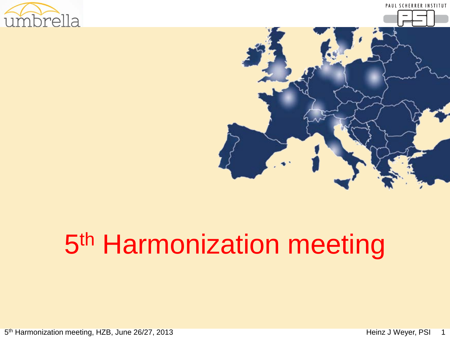





# 5<sup>th</sup> Harmonization meeting

5<sup>th</sup> Harmonization meeting, HZB, June 26/27, 2013 **19. In the Harmonization meeting, HZB, June 26/27, 2013** 1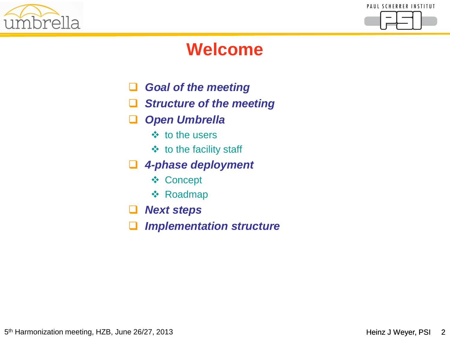



### **Welcome**

- *Goal of the meeting*
- *Structure of the meeting*
- *Open Umbrella*
	- $\div$  to the users
	- $\div$  to the facility staff
- *4-phase deployment*
	- **❖ Concept**
	- ❖ Roadmap
- *Next steps*
- *Implementation structure*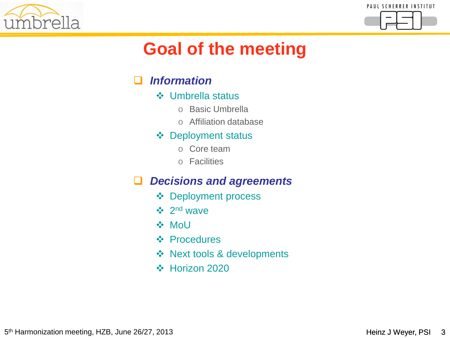



# **Goal of the meeting**

#### *Information*

- Umbrella status
	- o Basic Umbrella
	- o Affiliation database

#### ❖ Deployment status

- o Core team
- o Facilities

#### *Decisions and agreements*

- **❖** Deployment process
- $\div$  2<sup>nd</sup> wave
- **❖ MoU**
- ❖ Procedures
- ❖ Next tools & developments
- Horizon 2020

5<sup>th</sup> Harmonization meeting, HZB, June 26/27, 2013 **Heinz J Weyer, PSI 3** the Harmonization meeting, HZB, June 26/27, 2013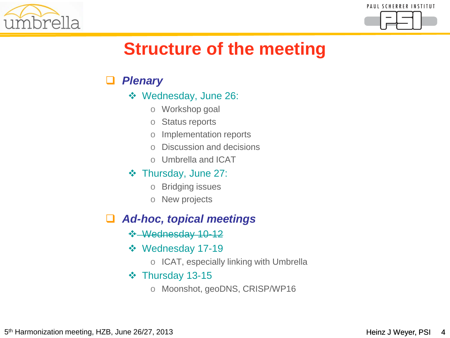



### **Structure of the meeting**

#### *Plenary*

- Wednesday, June 26:
	- o Workshop goal
	- o Status reports
	- o Implementation reports
	- o Discussion and decisions
	- o Umbrella and ICAT
- Thursday, June 27:
	- o Bridging issues
	- o New projects

#### *Ad-hoc, topical meetings*

- Wednesday 10-12
- Wednesday 17-19
	- o ICAT, especially linking with Umbrella

#### $\div$  Thursday 13-15

o Moonshot, geoDNS, CRISP/WP16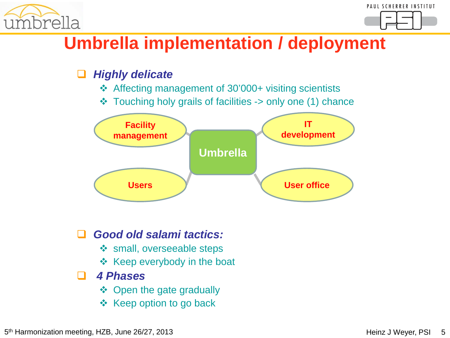



### **Umbrella implementation / deployment**

#### *Highly delicate*

- Affecting management of 30'000+ visiting scientists
- Touching holy grails of facilities -> only one (1) chance



- *Good old salami tactics:*
	- ❖ small, overseeable steps
	- $\div$  Keep everybody in the boat

#### *4 Phases*

- ❖ Open the gate gradually
- $\div$  Keep option to go back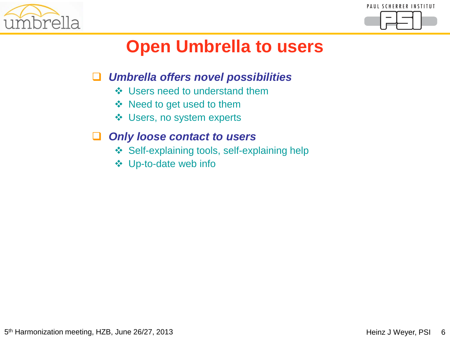



# **Open Umbrella to users**

#### *Umbrella offers novel possibilities*

- ❖ Users need to understand them
- ❖ Need to get used to them
- **❖** Users, no system experts

#### *Only loose contact to users*

- ❖ Self-explaining tools, self-explaining help
- Up-to-date web info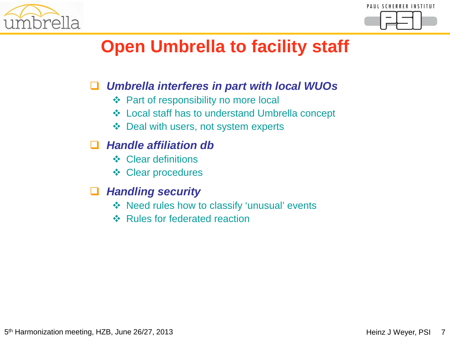



# **Open Umbrella to facility staff**

#### *Umbrella interferes in part with local WUOs*

- **❖** Part of responsibility no more local
- Local staff has to understand Umbrella concept
- Deal with users, not system experts

#### *Handle affiliation db*

- ❖ Clear definitions
- Clear procedures

#### *Handling security*

- Need rules how to classify 'unusual' events
- **❖ Rules for federated reaction**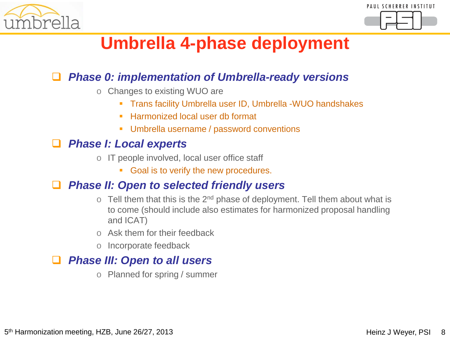



### **Umbrella 4-phase deployment**

#### *Phase 0: implementation of Umbrella-ready versions*

- o Changes to existing WUO are
	- Trans facility Umbrella user ID, Umbrella -WUO handshakes
	- Harmonized local user db format
	- **Umbrella username / password conventions**

#### *Phase I: Local experts*

- o IT people involved, local user office staff
	- Goal is to verify the new procedures.

#### *Phase II: Open to selected friendly users*

- o Tell them that this is the  $2^{nd}$  phase of deployment. Tell them about what is to come (should include also estimates for harmonized proposal handling and ICAT)
- o Ask them for their feedback
- o Incorporate feedback

#### *Phase III: Open to all users*

o Planned for spring / summer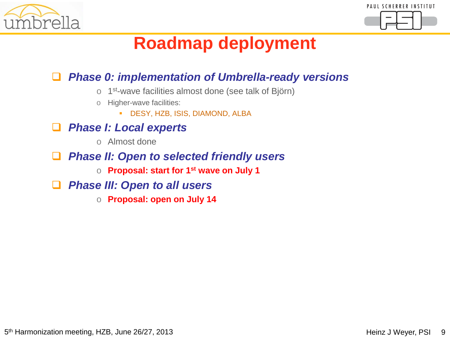



### **Roadmap deployment**

#### *Phase 0: implementation of Umbrella-ready versions*

- o 1st-wave facilities almost done (see talk of Björn)
- o Higher-wave facilities:
	- DESY, HZB, ISIS, DIAMOND, ALBA
- *Phase I: Local experts*
	- o Almost done
- *Phase II: Open to selected friendly users* 
	- o **Proposal: start for 1st wave on July 1**
- *Phase III: Open to all users*
	- o **Proposal: open on July 14**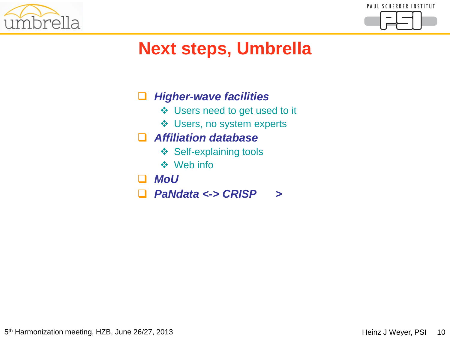



# **Next steps, Umbrella**

#### *Higher-wave facilities*

- Users need to get used to it
- Users, no system experts

#### *Affiliation database*

- ❖ Self-explaining tools
- Web info
- *MoU*
- *PaNdata <-> CRISP >*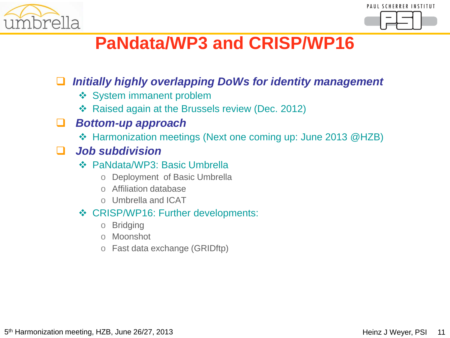



### **PaNdata/WP3 and CRISP/WP16**

#### *Initially highly overlapping DoWs for identity management*

- **❖ System immanent problem**
- ❖ Raised again at the Brussels review (Dec. 2012)

#### *Bottom-up approach*

Harmonization meetings (Next one coming up: June 2013 @HZB)

#### *Job subdivision*

- PaNdata/WP3: Basic Umbrella
	- o Deployment of Basic Umbrella
	- o Affiliation database
	- o Umbrella and ICAT

#### **❖ CRISP/WP16: Further developments:**

- o Bridging
- o Moonshot
- o Fast data exchange (GRIDftp)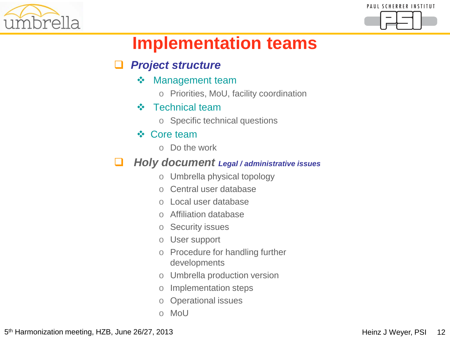



# **Implementation teams**

#### *Project structure*

- **❖** Management team
	- o Priorities, MoU, facility coordination
- **❖** Technical team
	- o Specific technical questions

#### ❖ Core team

o Do the work

#### *Holy document Legal / administrative issues*

- o Umbrella physical topology
- o Central user database
- o Local user database
- o Affiliation database
- o Security issues
- o User support
- o Procedure for handling further developments
- o Umbrella production version
- o Implementation steps
- o Operational issues
- o MoU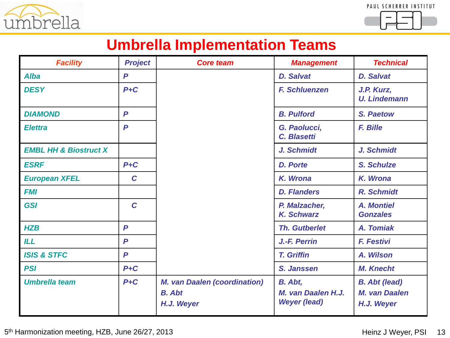



### **Umbrella Implementation Teams**

| <b>Facility</b>                  | <b>Project</b> | <b>Core team</b>                                                   | <b>Management</b>                                    | <b>Technical</b>                                           |
|----------------------------------|----------------|--------------------------------------------------------------------|------------------------------------------------------|------------------------------------------------------------|
| <b>Alba</b>                      | P              |                                                                    | <b>D. Salvat</b>                                     | <b>D. Salvat</b>                                           |
| <b>DESY</b>                      | $P + C$        |                                                                    | <b>F. Schluenzen</b>                                 | J.P. Kurz,<br><b>U. Lindemann</b>                          |
| <b>DIAMOND</b>                   | P              |                                                                    | <b>B. Pulford</b>                                    | S. Paetow                                                  |
| <b>Elettra</b>                   | $\mathbf P$    |                                                                    | G. Paolucci,<br>C. Blasetti                          | <b>F. Bille</b>                                            |
| <b>EMBL HH &amp; Biostruct X</b> |                |                                                                    | J. Schmidt                                           | J. Schmidt                                                 |
| <b>ESRF</b>                      | $P + C$        |                                                                    | <b>D. Porte</b>                                      | <b>S. Schulze</b>                                          |
| <b>European XFEL</b>             | $\mathbf C$    |                                                                    | K. Wrona                                             | K. Wrona                                                   |
| <b>FMI</b>                       |                |                                                                    | <b>D. Flanders</b>                                   | R. Schmidt                                                 |
| <b>GSI</b>                       | $\mathbf C$    |                                                                    | P. Malzacher,<br><b>K. Schwarz</b>                   | <b>A. Montiel</b><br><b>Gonzales</b>                       |
| <b>HZB</b>                       | P              |                                                                    | <b>Th. Gutberlet</b>                                 | A. Tomiak                                                  |
| <b>ILL</b>                       | $\mathsf{P}$   |                                                                    | J.-F. Perrin                                         | <b>F. Festivi</b>                                          |
| <b>ISIS &amp; STFC</b>           | $\mathsf{P}$   |                                                                    | <b>T. Griffin</b>                                    | A. Wilson                                                  |
| <b>PSI</b>                       | $P+C$          |                                                                    | S. Janssen                                           | <b>M. Knecht</b>                                           |
| <b>Umbrella team</b>             | $P + C$        | <b>M. van Daalen (coordination)</b><br><b>B.</b> Abt<br>H.J. Weyer | B. Abt,<br>M. van Daalen H.J.<br><b>Weyer (lead)</b> | <b>B.</b> Abt (lead)<br><b>M. van Daalen</b><br>H.J. Weyer |